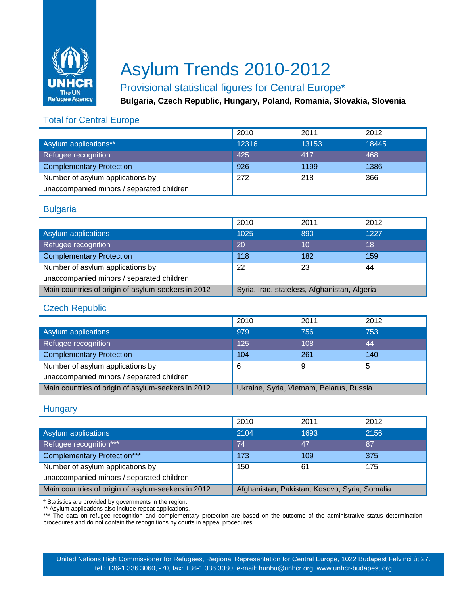

# Asylum Trends 2010-2012

## Provisional statistical figures for Central Europe\*

**Bulgaria, Czech Republic, Hungary, Poland, Romania, Slovakia, Slovenia**

### Total for Central Europe

|                                           | 2010  | 2011  | 2012  |
|-------------------------------------------|-------|-------|-------|
| Asylum applications**                     | 12316 | 13153 | 18445 |
| Refugee recognition                       | 425   | 417   | 468   |
| <b>Complementary Protection</b>           | 926   | 1199  | 1386  |
| Number of asylum applications by          | 272   | 218   | 366   |
| unaccompanied minors / separated children |       |       |       |

#### **Bulgaria**

|                                                    | 2010                                         | 2011 | 2012 |
|----------------------------------------------------|----------------------------------------------|------|------|
| Asylum applications                                | 1025                                         | 890  | 1227 |
| Refugee recognition                                | 20                                           | 10   | 18   |
| <b>Complementary Protection</b>                    | 118                                          | 182  | 159  |
| Number of asylum applications by                   | 22                                           | 23   | 44   |
| unaccompanied minors / separated children          |                                              |      |      |
| Main countries of origin of asylum-seekers in 2012 | Syria, Iraq, stateless, Afghanistan, Algeria |      |      |

#### Czech Republic

|                                                    | 2010                                     | 2011 | 2012 |
|----------------------------------------------------|------------------------------------------|------|------|
| Asylum applications                                | 979                                      | 756  | 753  |
| Refugee recognition                                | 125                                      | 108  | 44   |
| <b>Complementary Protection</b>                    | 104                                      | 261  | 140  |
| Number of asylum applications by                   | 6                                        | 9    | 5    |
| unaccompanied minors / separated children          |                                          |      |      |
| Main countries of origin of asylum-seekers in 2012 | Ukraine, Syria, Vietnam, Belarus, Russia |      |      |

#### **Hungary**

|                                                    | 2010                                          | 2011 | 2012 |
|----------------------------------------------------|-----------------------------------------------|------|------|
| Asylum applications                                | 2104                                          | 1693 | 2156 |
| Refugee recognition***                             | 74                                            | 47   | 87   |
| <b>Complementary Protection***</b>                 | 173                                           | 109  | 375  |
| Number of asylum applications by                   | 150                                           | 61   | 175  |
| unaccompanied minors / separated children          |                                               |      |      |
| Main countries of origin of asylum-seekers in 2012 | Afghanistan, Pakistan, Kosovo, Syria, Somalia |      |      |

\* Statistics are provided by governments in the region.

\*\* Asylum applications also include repeat applications.

\*\*\* The data on refugee recognition and complementary protection are based on the outcome of the administrative status determination procedures and do not contain the recognitions by courts in appeal procedures.